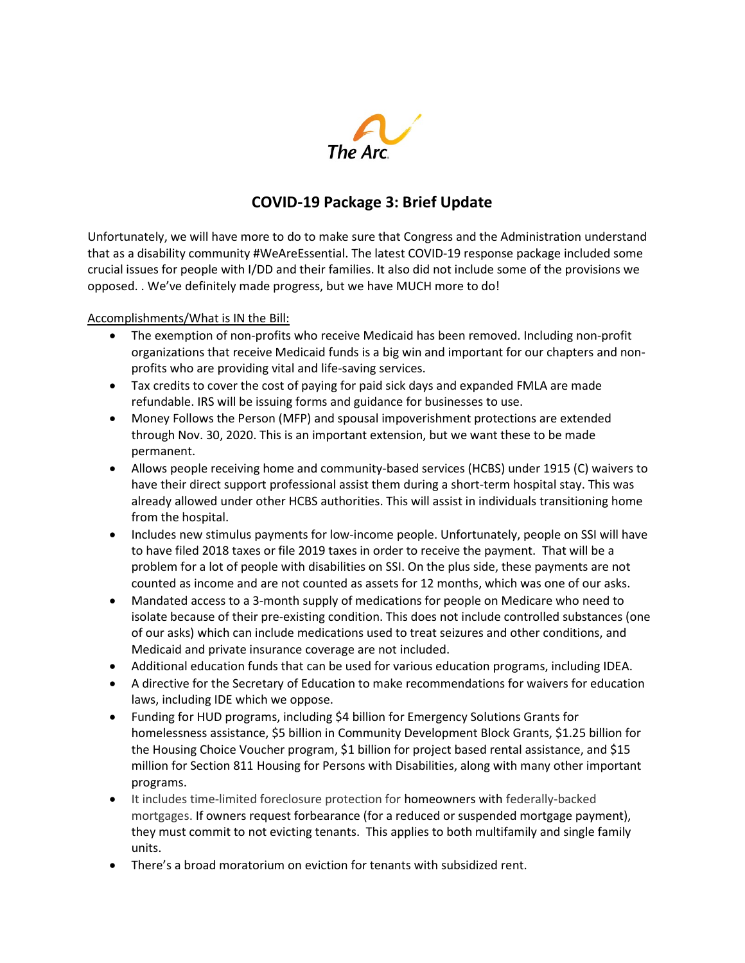

## COVID-19 Package 3: Brief Update

Unfortunately, we will have more to do to make sure that Congress and the Administration understand that as a disability community #WeAreEssential. The latest COVID-19 response package included some crucial issues for people with I/DD and their families. It also did not include some of the provisions we opposed. . We've definitely made progress, but we have MUCH more to do!

Accomplishments/What is IN the Bill:

- The exemption of non-profits who receive Medicaid has been removed. Including non-profit organizations that receive Medicaid funds is a big win and important for our chapters and nonprofits who are providing vital and life-saving services.
- Tax credits to cover the cost of paying for paid sick days and expanded FMLA are made refundable. IRS will be issuing forms and guidance for businesses to use.
- Money Follows the Person (MFP) and spousal impoverishment protections are extended through Nov. 30, 2020. This is an important extension, but we want these to be made permanent.
- Allows people receiving home and community-based services (HCBS) under 1915 (C) waivers to have their direct support professional assist them during a short-term hospital stay. This was already allowed under other HCBS authorities. This will assist in individuals transitioning home from the hospital.
- Includes new stimulus payments for low-income people. Unfortunately, people on SSI will have to have filed 2018 taxes or file 2019 taxes in order to receive the payment. That will be a problem for a lot of people with disabilities on SSI. On the plus side, these payments are not counted as income and are not counted as assets for 12 months, which was one of our asks.
- Mandated access to a 3-month supply of medications for people on Medicare who need to isolate because of their pre-existing condition. This does not include controlled substances (one of our asks) which can include medications used to treat seizures and other conditions, and Medicaid and private insurance coverage are not included.
- Additional education funds that can be used for various education programs, including IDEA.
- A directive for the Secretary of Education to make recommendations for waivers for education laws, including IDE which we oppose.
- Funding for HUD programs, including \$4 billion for Emergency Solutions Grants for homelessness assistance, \$5 billion in Community Development Block Grants, \$1.25 billion for the Housing Choice Voucher program, \$1 billion for project based rental assistance, and \$15 million for Section 811 Housing for Persons with Disabilities, along with many other important programs.
- It includes time-limited foreclosure protection for homeowners with federally-backed mortgages. If owners request forbearance (for a reduced or suspended mortgage payment), they must commit to not evicting tenants. This applies to both multifamily and single family units.
- There's a broad moratorium on eviction for tenants with subsidized rent.